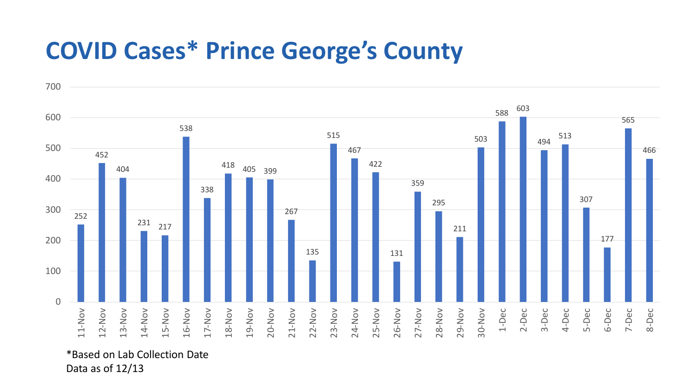## **COVID Cases\* Prince George's County**



\*Based on Lab Collection Date Data as of 12/13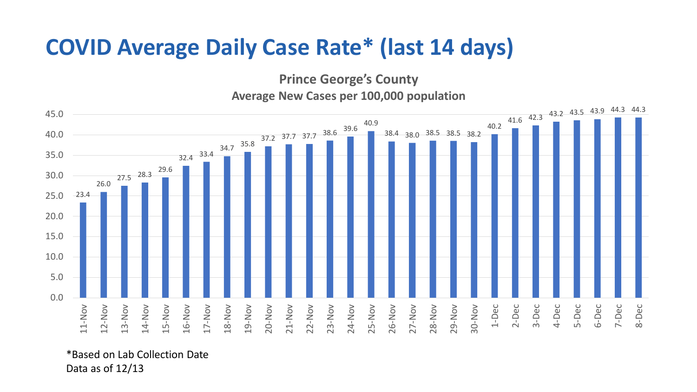## **COVID Average Daily Case Rate\* (last 14 days)**

**Prince George's County**

**Average New Cases per 100,000 population**



\*Based on Lab Collection Date Data as of 12/13